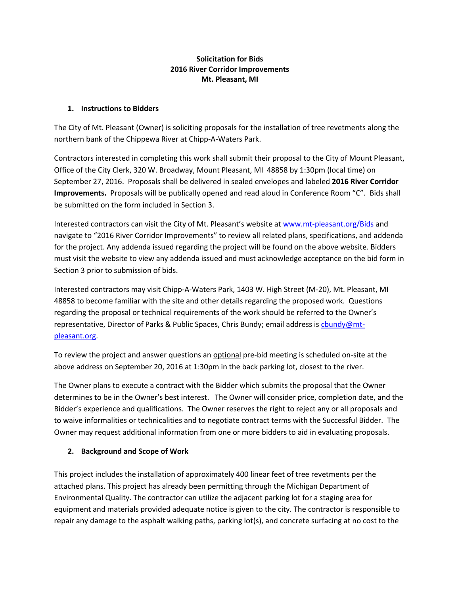## **Solicitation for Bids 2016 River Corridor Improvements Mt. Pleasant, MI**

#### **1. Instructions to Bidders**

The City of Mt. Pleasant (Owner) is soliciting proposals for the installation of tree revetments along the northern bank of the Chippewa River at Chipp-A-Waters Park.

Contractors interested in completing this work shall submit their proposal to the City of Mount Pleasant, Office of the City Clerk, 320 W. Broadway, Mount Pleasant, MI 48858 by 1:30pm (local time) on September 27, 2016. Proposals shall be delivered in sealed envelopes and labeled **2016 River Corridor Improvements.** Proposals will be publically opened and read aloud in Conference Room "C". Bids shall be submitted on the form included in Section 3.

Interested contractors can visit the City of Mt. Pleasant's website at <www.mt-pleasant.org/Bids> and navigate to "2016 River Corridor Improvements" to review all related plans, specifications, and addenda for the project. Any addenda issued regarding the project will be found on the above website. Bidders must visit the website to view any addenda issued and must acknowledge acceptance on the bid form in Section 3 prior to submission of bids.

Interested contractors may visit Chipp-A-Waters Park, 1403 W. High Street (M-20), Mt. Pleasant, MI 48858 to become familiar with the site and other details regarding the proposed work. Questions regarding the proposal or technical requirements of the work should be referred to the Owner's representative, Director of Parks & Public Spaces, Chris Bundy; email address is chundy@mt[pleasant.org.](mailto:cbundy@mt-pleasant.org)

To review the project and answer questions an optional pre-bid meeting is scheduled on-site at the above address on September 20, 2016 at 1:30pm in the back parking lot, closest to the river.

The Owner plans to execute a contract with the Bidder which submits the proposal that the Owner determines to be in the Owner's best interest. The Owner will consider price, completion date, and the Bidder's experience and qualifications. The Owner reserves the right to reject any or all proposals and to waive informalities or technicalities and to negotiate contract terms with the Successful Bidder. The Owner may request additional information from one or more bidders to aid in evaluating proposals.

## **2. Background and Scope of Work**

This project includes the installation of approximately 400 linear feet of tree revetments per the attached plans. This project has already been permitting through the Michigan Department of Environmental Quality. The contractor can utilize the adjacent parking lot for a staging area for equipment and materials provided adequate notice is given to the city. The contractor is responsible to repair any damage to the asphalt walking paths, parking lot(s), and concrete surfacing at no cost to the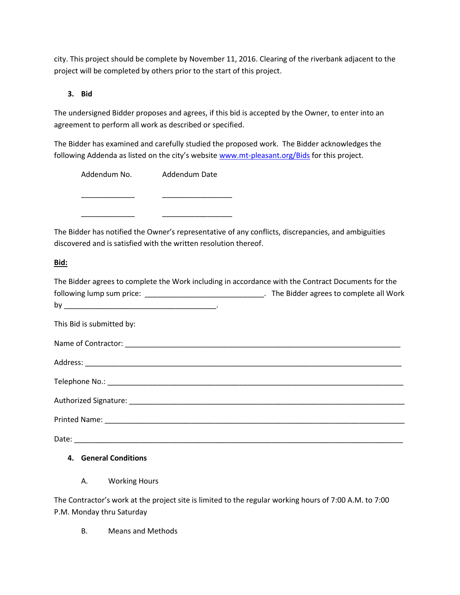city. This project should be complete by November 11, 2016. Clearing of the riverbank adjacent to the project will be completed by others prior to the start of this project.

## **3. Bid**

The undersigned Bidder proposes and agrees, if this bid is accepted by the Owner, to enter into an agreement to perform all work as described or specified.

The Bidder has examined and carefully studied the proposed work. The Bidder acknowledges the following Addenda as listed on the city's website [www.mt-pleasant.org/Bids](http://www.mt-pleasant.org/Bids) for this project.

| Addendum No. | Addendum Date |
|--------------|---------------|
|              |               |
|              |               |
|              |               |

The Bidder has notified the Owner's representative of any conflicts, discrepancies, and ambiguities discovered and is satisfied with the written resolution thereof.

# **Bid:**

| The Bidder agrees to complete the Work including in accordance with the Contract Documents for the   |  |
|------------------------------------------------------------------------------------------------------|--|
| following lump sum price: __________________________________. The Bidder agrees to complete all Work |  |
|                                                                                                      |  |
| This Bid is submitted by:                                                                            |  |
|                                                                                                      |  |
|                                                                                                      |  |
|                                                                                                      |  |
|                                                                                                      |  |
|                                                                                                      |  |
|                                                                                                      |  |
|                                                                                                      |  |

# **4. General Conditions**

A. Working Hours

The Contractor's work at the project site is limited to the regular working hours of 7:00 A.M. to 7:00 P.M. Monday thru Saturday

B. Means and Methods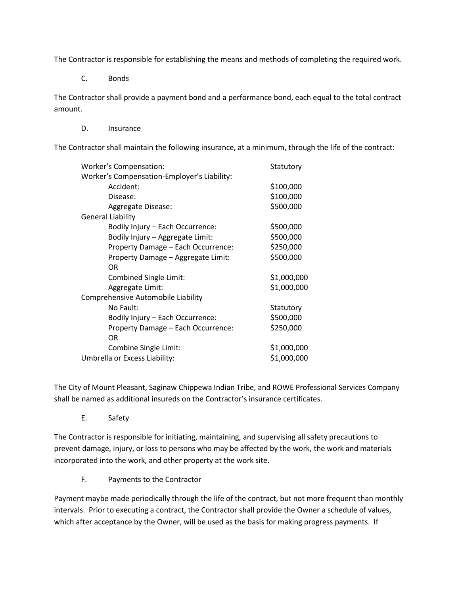The Contractor is responsible for establishing the means and methods of completing the required work.

C. Bonds

The Contractor shall provide a payment bond and a performance bond, each equal to the total contract amount.

D. Insurance

The Contractor shall maintain the following insurance, at a minimum, through the life of the contract:

| Worker's Compensation:                      | Statutory   |
|---------------------------------------------|-------------|
| Worker's Compensation-Employer's Liability: |             |
| Accident:                                   | \$100,000   |
| Disease:                                    | \$100,000   |
| Aggregate Disease:                          | \$500,000   |
| <b>General Liability</b>                    |             |
| Bodily Injury – Each Occurrence:            | \$500,000   |
| Bodily Injury - Aggregate Limit:            | \$500,000   |
| Property Damage - Each Occurrence:          | \$250,000   |
| Property Damage - Aggregate Limit:          | \$500,000   |
| 0R                                          |             |
| Combined Single Limit:                      | \$1,000,000 |
| Aggregate Limit:                            | \$1,000,000 |
| Comprehensive Automobile Liability          |             |
| No Fault:                                   | Statutory   |
| Bodily Injury - Each Occurrence:            | \$500,000   |
| Property Damage - Each Occurrence:          | \$250,000   |
| 0R                                          |             |
| Combine Single Limit:                       | \$1,000,000 |
| Umbrella or Excess Liability:               | \$1,000,000 |

The City of Mount Pleasant, Saginaw Chippewa Indian Tribe, and ROWE Professional Services Company shall be named as additional insureds on the Contractor's insurance certificates.

E. Safety

The Contractor is responsible for initiating, maintaining, and supervising all safety precautions to prevent damage, injury, or loss to persons who may be affected by the work, the work and materials incorporated into the work, and other property at the work site.

F. Payments to the Contractor

Payment maybe made periodically through the life of the contract, but not more frequent than monthly intervals. Prior to executing a contract, the Contractor shall provide the Owner a schedule of values, which after acceptance by the Owner, will be used as the basis for making progress payments. If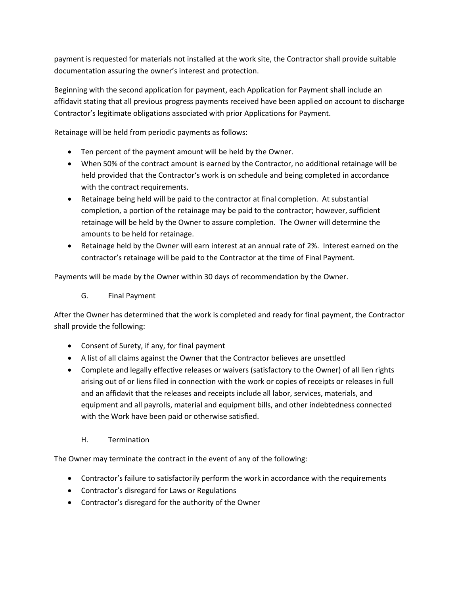payment is requested for materials not installed at the work site, the Contractor shall provide suitable documentation assuring the owner's interest and protection.

Beginning with the second application for payment, each Application for Payment shall include an affidavit stating that all previous progress payments received have been applied on account to discharge Contractor's legitimate obligations associated with prior Applications for Payment.

Retainage will be held from periodic payments as follows:

- Ten percent of the payment amount will be held by the Owner.
- When 50% of the contract amount is earned by the Contractor, no additional retainage will be held provided that the Contractor's work is on schedule and being completed in accordance with the contract requirements.
- Retainage being held will be paid to the contractor at final completion. At substantial completion, a portion of the retainage may be paid to the contractor; however, sufficient retainage will be held by the Owner to assure completion. The Owner will determine the amounts to be held for retainage.
- Retainage held by the Owner will earn interest at an annual rate of 2%. Interest earned on the contractor's retainage will be paid to the Contractor at the time of Final Payment.

Payments will be made by the Owner within 30 days of recommendation by the Owner.

G. Final Payment

After the Owner has determined that the work is completed and ready for final payment, the Contractor shall provide the following:

- Consent of Surety, if any, for final payment
- A list of all claims against the Owner that the Contractor believes are unsettled
- Complete and legally effective releases or waivers (satisfactory to the Owner) of all lien rights arising out of or liens filed in connection with the work or copies of receipts or releases in full and an affidavit that the releases and receipts include all labor, services, materials, and equipment and all payrolls, material and equipment bills, and other indebtedness connected with the Work have been paid or otherwise satisfied.
	- H. Termination

The Owner may terminate the contract in the event of any of the following:

- Contractor's failure to satisfactorily perform the work in accordance with the requirements
- Contractor's disregard for Laws or Regulations
- Contractor's disregard for the authority of the Owner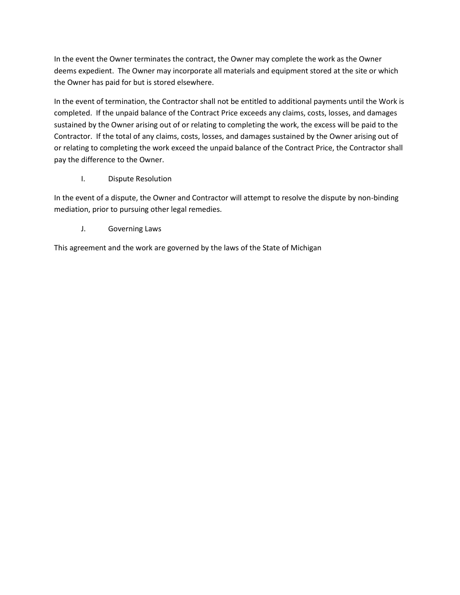In the event the Owner terminates the contract, the Owner may complete the work as the Owner deems expedient. The Owner may incorporate all materials and equipment stored at the site or which the Owner has paid for but is stored elsewhere.

In the event of termination, the Contractor shall not be entitled to additional payments until the Work is completed. If the unpaid balance of the Contract Price exceeds any claims, costs, losses, and damages sustained by the Owner arising out of or relating to completing the work, the excess will be paid to the Contractor. If the total of any claims, costs, losses, and damages sustained by the Owner arising out of or relating to completing the work exceed the unpaid balance of the Contract Price, the Contractor shall pay the difference to the Owner.

I. Dispute Resolution

In the event of a dispute, the Owner and Contractor will attempt to resolve the dispute by non-binding mediation, prior to pursuing other legal remedies.

J. Governing Laws

This agreement and the work are governed by the laws of the State of Michigan